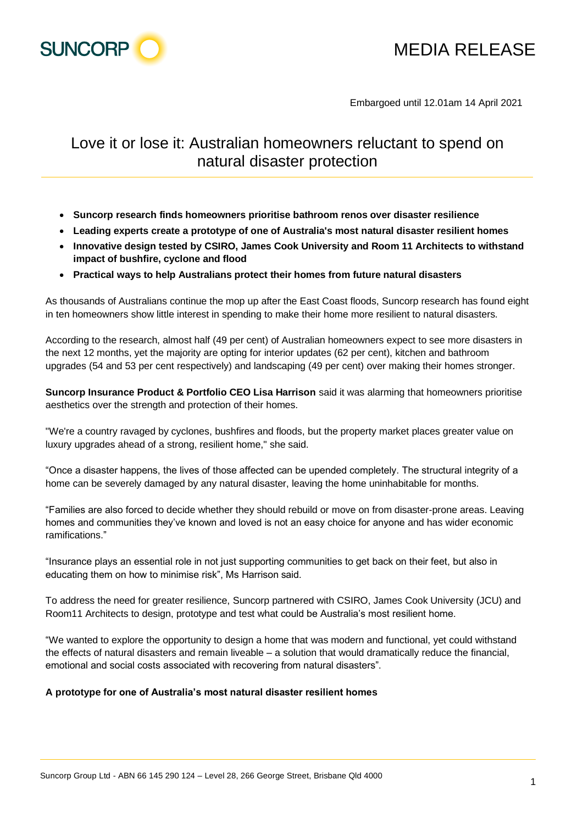

# MEDIA RELEASE

Embargoed until 12.01am 14 April 2021

# Love it or lose it: Australian homeowners reluctant to spend on natural disaster protection

- **Suncorp research finds homeowners prioritise bathroom renos over disaster resilience**
- **Leading experts create a prototype of one of Australia's most natural disaster resilient homes**
- **Innovative design tested by CSIRO, James Cook University and Room 11 Architects to withstand impact of bushfire, cyclone and flood**
- **Practical ways to help Australians protect their homes from future natural disasters**

As thousands of Australians continue the mop up after the East Coast floods, Suncorp research has found eight in ten homeowners show little interest in spending to make their home more resilient to natural disasters.

According to the research, almost half (49 per cent) of Australian homeowners expect to see more disasters in the next 12 months, yet the majority are opting for interior updates (62 per cent), kitchen and bathroom upgrades (54 and 53 per cent respectively) and landscaping (49 per cent) over making their homes stronger.

**Suncorp Insurance Product & Portfolio CEO Lisa Harrison** said it was alarming that homeowners prioritise aesthetics over the strength and protection of their homes.

"We're a country ravaged by cyclones, bushfires and floods, but the property market places greater value on luxury upgrades ahead of a strong, resilient home," she said.

"Once a disaster happens, the lives of those affected can be upended completely. The structural integrity of a home can be severely damaged by any natural disaster, leaving the home uninhabitable for months.

"Families are also forced to decide whether they should rebuild or move on from disaster-prone areas. Leaving homes and communities they've known and loved is not an easy choice for anyone and has wider economic ramifications."

"Insurance plays an essential role in not just supporting communities to get back on their feet, but also in educating them on how to minimise risk", Ms Harrison said.

To address the need for greater resilience, Suncorp partnered with CSIRO, James Cook University (JCU) and Room11 Architects to design, prototype and test what could be Australia's most resilient home.

"We wanted to explore the opportunity to design a home that was modern and functional, yet could withstand the effects of natural disasters and remain liveable – a solution that would dramatically reduce the financial, emotional and social costs associated with recovering from natural disasters".

#### **A prototype for one of Australia's most natural disaster resilient homes**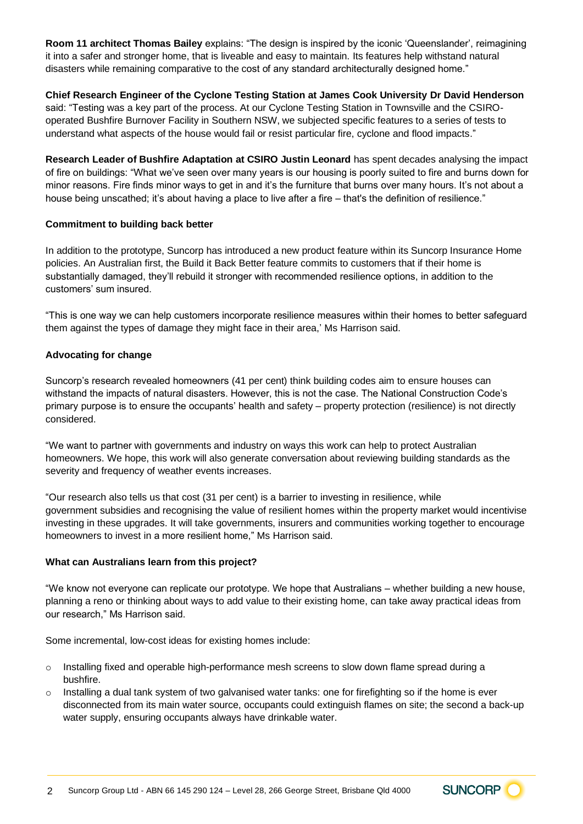**Room 11 architect Thomas Bailey** explains: "The design is inspired by the iconic 'Queenslander', reimagining it into a safer and stronger home, that is liveable and easy to maintain. Its features help withstand natural disasters while remaining comparative to the cost of any standard architecturally designed home."

# **Chief Research Engineer of the Cyclone Testing Station at James Cook University Dr David Henderson**

said: "Testing was a key part of the process. At our Cyclone Testing Station in Townsville and the CSIROoperated Bushfire Burnover Facility in Southern NSW, we subjected specific features to a series of tests to understand what aspects of the house would fail or resist particular fire, cyclone and flood impacts."

**Research Leader of Bushfire Adaptation at CSIRO Justin Leonard** has spent decades analysing the impact of fire on buildings: "What we've seen over many years is our housing is poorly suited to fire and burns down for minor reasons. Fire finds minor ways to get in and it's the furniture that burns over many hours. It's not about a house being unscathed; it's about having a place to live after a fire – that's the definition of resilience."

## **Commitment to building back better**

In addition to the prototype, Suncorp has introduced a new product feature within its Suncorp Insurance Home policies. An Australian first, the Build it Back Better feature commits to customers that if their home is substantially damaged, they'll rebuild it stronger with recommended resilience options, in addition to the customers' sum insured.

"This is one way we can help customers incorporate resilience measures within their homes to better safeguard them against the types of damage they might face in their area,' Ms Harrison said.

## **Advocating for change**

Suncorp's research revealed homeowners (41 per cent) think building codes aim to ensure houses can withstand the impacts of natural disasters. However, this is not the case. The National Construction Code's primary purpose is to ensure the occupants' health and safety – property protection (resilience) is not directly considered.

"We want to partner with governments and industry on ways this work can help to protect Australian homeowners. We hope, this work will also generate conversation about reviewing building standards as the severity and frequency of weather events increases.

"Our research also tells us that cost (31 per cent) is a barrier to investing in resilience, while government subsidies and recognising the value of resilient homes within the property market would incentivise investing in these upgrades. It will take governments, insurers and communities working together to encourage homeowners to invest in a more resilient home," Ms Harrison said.

#### **What can Australians learn from this project?**

"We know not everyone can replicate our prototype. We hope that Australians – whether building a new house, planning a reno or thinking about ways to add value to their existing home, can take away practical ideas from our research," Ms Harrison said.

Some incremental, low-cost ideas for existing homes include:

- o Installing fixed and operable high-performance mesh screens to slow down flame spread during a bushfire.
- $\circ$  Installing a dual tank system of two galvanised water tanks: one for firefighting so if the home is ever disconnected from its main water source, occupants could extinguish flames on site; the second a back-up water supply, ensuring occupants always have drinkable water.

**SUNCORP**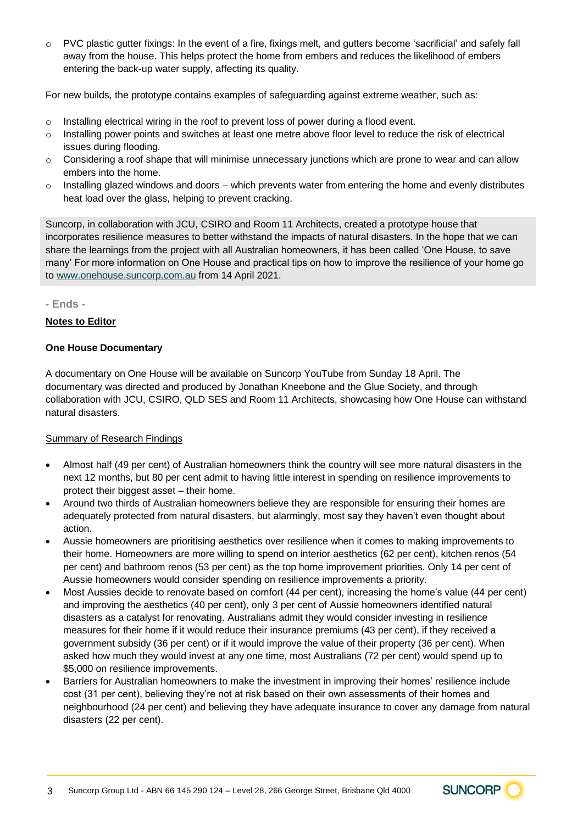o PVC plastic gutter fixings: In the event of a fire, fixings melt, and gutters become 'sacrificial' and safely fall away from the house. This helps protect the home from embers and reduces the likelihood of embers entering the back-up water supply, affecting its quality.

For new builds, the prototype contains examples of safeguarding against extreme weather, such as:

- o Installing electrical wiring in the roof to prevent loss of power during a flood event.
- o Installing power points and switches at least one metre above floor level to reduce the risk of electrical issues during flooding.
- $\circ$  Considering a roof shape that will minimise unnecessary junctions which are prone to wear and can allow embers into the home.
- o Installing glazed windows and doors which prevents water from entering the home and evenly distributes heat load over the glass, helping to prevent cracking.

Suncorp, in collaboration with JCU, CSIRO and Room 11 Architects, created a prototype house that incorporates resilience measures to better withstand the impacts of natural disasters. In the hope that we can share the learnings from the project with all Australian homeowners, it has been called 'One House, to save many' For more information on One House and practical tips on how to improve the resilience of your home go t[o www.onehouse.suncorp.com.au](http://www.onehouse.suncorp.com.au/) from 14 April 2021.

**- Ends -**

## **Notes to Editor**

## **One House Documentary**

A documentary on One House will be available on Suncorp YouTube from Sunday 18 April. The documentary was directed and produced by Jonathan Kneebone and the Glue Society, and through collaboration with JCU, CSIRO, QLD SES and Room 11 Architects, showcasing how One House can withstand natural disasters.

#### Summary of Research Findings

- Almost half (49 per cent) of Australian homeowners think the country will see more natural disasters in the next 12 months, but 80 per cent admit to having little interest in spending on resilience improvements to protect their biggest asset – their home.
- Around two thirds of Australian homeowners believe they are responsible for ensuring their homes are adequately protected from natural disasters, but alarmingly, most say they haven't even thought about action.
- Aussie homeowners are prioritising aesthetics over resilience when it comes to making improvements to their home. Homeowners are more willing to spend on interior aesthetics (62 per cent), kitchen renos (54 per cent) and bathroom renos (53 per cent) as the top home improvement priorities. Only 14 per cent of Aussie homeowners would consider spending on resilience improvements a priority.
- Most Aussies decide to renovate based on comfort (44 per cent), increasing the home's value (44 per cent) and improving the aesthetics (40 per cent), only 3 per cent of Aussie homeowners identified natural disasters as a catalyst for renovating. Australians admit they would consider investing in resilience measures for their home if it would reduce their insurance premiums (43 per cent), if they received a government subsidy (36 per cent) or if it would improve the value of their property (36 per cent). When asked how much they would invest at any one time, most Australians (72 per cent) would spend up to \$5,000 on resilience improvements.
- Barriers for Australian homeowners to make the investment in improving their homes' resilience include cost (31 per cent), believing they're not at risk based on their own assessments of their homes and neighbourhood (24 per cent) and believing they have adequate insurance to cover any damage from natural disasters (22 per cent).

SUNCORP<sup>C</sup>